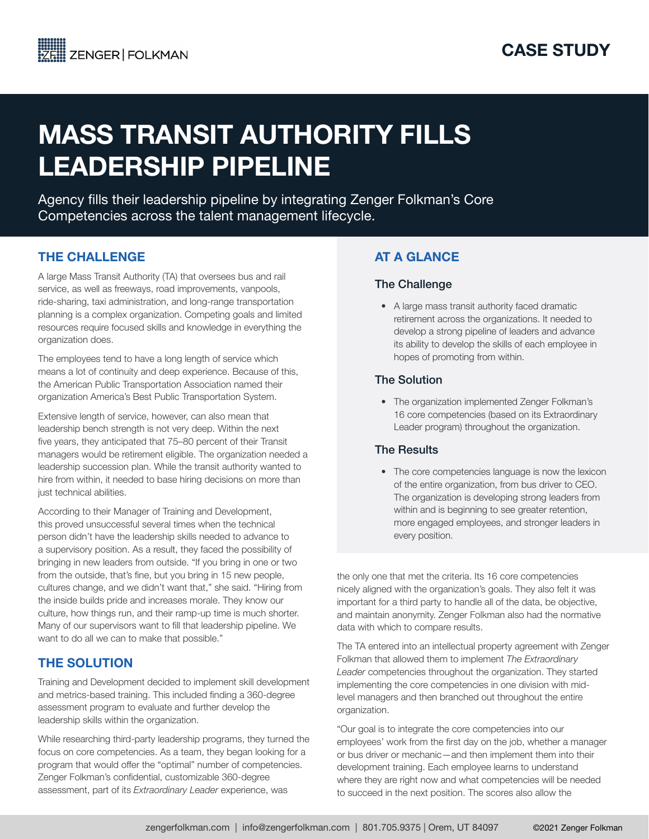# MASS TRANSIT AUTHORITY FILLS LEADERSHIP PIPELINE

Agency fills their leadership pipeline by integrating Zenger Folkman's Core Competencies across the talent management lifecycle.

# THE CHALLENGE

A large Mass Transit Authority (TA) that oversees bus and rail service, as well as freeways, road improvements, vanpools, ride-sharing, taxi administration, and long-range transportation planning is a complex organization. Competing goals and limited resources require focused skills and knowledge in everything the organization does.

The employees tend to have a long length of service which means a lot of continuity and deep experience. Because of this, the American Public Transportation Association named their organization America's Best Public Transportation System.

Extensive length of service, however, can also mean that leadership bench strength is not very deep. Within the next five years, they anticipated that 75–80 percent of their Transit managers would be retirement eligible. The organization needed a leadership succession plan. While the transit authority wanted to hire from within, it needed to base hiring decisions on more than just technical abilities.

According to their Manager of Training and Development, this proved unsuccessful several times when the technical person didn't have the leadership skills needed to advance to a supervisory position. As a result, they faced the possibility of bringing in new leaders from outside. "If you bring in one or two from the outside, that's fine, but you bring in 15 new people, cultures change, and we didn't want that," she said. "Hiring from the inside builds pride and increases morale. They know our culture, how things run, and their ramp-up time is much shorter. Many of our supervisors want to fill that leadership pipeline. We want to do all we can to make that possible."

# THE SOLUTION

Training and Development decided to implement skill development and metrics-based training. This included finding a 360-degree assessment program to evaluate and further develop the leadership skills within the organization.

While researching third-party leadership programs, they turned the focus on core competencies. As a team, they began looking for a program that would offer the "optimal" number of competencies. Zenger Folkman's confidential, customizable 360-degree assessment, part of its *Extraordinary Leader* experience, was

# AT A GLANCE

#### The Challenge

• A large mass transit authority faced dramatic retirement across the organizations. It needed to develop a strong pipeline of leaders and advance its ability to develop the skills of each employee in hopes of promoting from within.

#### The Solution

• The organization implemented Zenger Folkman's 16 core competencies (based on its Extraordinary Leader program) throughout the organization.

### The Results

• The core competencies language is now the lexicon of the entire organization, from bus driver to CEO. The organization is developing strong leaders from within and is beginning to see greater retention, more engaged employees, and stronger leaders in every position.

the only one that met the criteria. Its 16 core competencies nicely aligned with the organization's goals. They also felt it was important for a third party to handle all of the data, be objective, and maintain anonymity. Zenger Folkman also had the normative data with which to compare results.

The TA entered into an intellectual property agreement with Zenger Folkman that allowed them to implement *The Extraordinary Leader* competencies throughout the organization. They started implementing the core competencies in one division with midlevel managers and then branched out throughout the entire organization.

"Our goal is to integrate the core competencies into our employees' work from the first day on the job, whether a manager or bus driver or mechanic—and then implement them into their development training. Each employee learns to understand where they are right now and what competencies will be needed to succeed in the next position. The scores also allow the